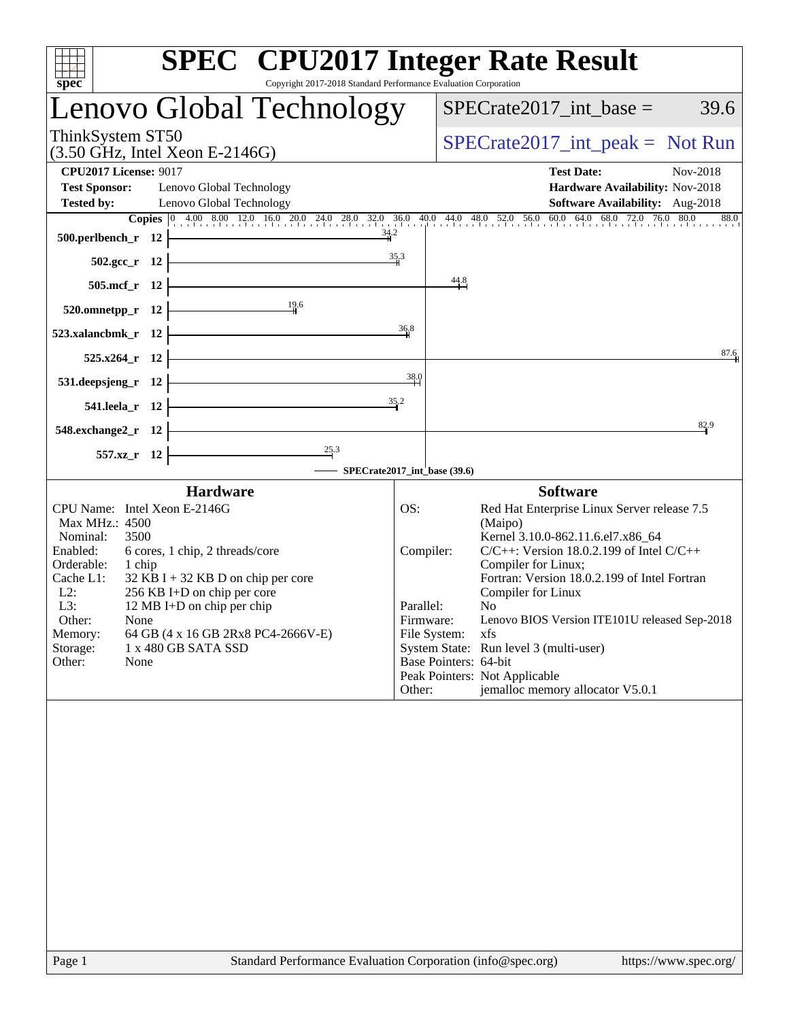| <b>SPEC<sup>®</sup></b> CPU2017 Integer Rate Result<br>Copyright 2017-2018 Standard Performance Evaluation Corporation<br>spec <sup>®</sup> |                  |                                                                                                                                                                                                     |
|---------------------------------------------------------------------------------------------------------------------------------------------|------------------|-----------------------------------------------------------------------------------------------------------------------------------------------------------------------------------------------------|
| Lenovo Global Technology                                                                                                                    |                  | $SPECrate2017\_int\_base =$<br>39.6                                                                                                                                                                 |
| ThinkSystem ST50<br>$(3.50 \text{ GHz}, \text{Intel Xeon E-2146G})$                                                                         |                  | $SPECrate2017\_int\_peak = Not Run$                                                                                                                                                                 |
| <b>CPU2017 License: 9017</b><br><b>Test Sponsor:</b><br>Lenovo Global Technology                                                            |                  | <b>Test Date:</b><br>Nov-2018<br>Hardware Availability: Nov-2018                                                                                                                                    |
| <b>Tested by:</b><br>Lenovo Global Technology                                                                                               |                  | Software Availability: Aug-2018                                                                                                                                                                     |
| 34.2<br>500.perlbench_r 12                                                                                                                  |                  | <b>Copies</b> $\begin{bmatrix} 0 & 4.00 & 8.00 & 12.0 & 16.0 & 20.0 & 24.0 & 28.0 & 32.0 & 36.0 & 40.0 & 44.0 & 48.0 & 52.0 & 56.0 & 60.0 & 64.0 & 68.0 & 72.0 & 76.0 & 80.0 \end{bmatrix}$<br>88.0 |
| $502.\text{gcc}_r$ 12                                                                                                                       | $\frac{35.3}{4}$ |                                                                                                                                                                                                     |
| 505.mcf_r 12                                                                                                                                |                  | 44.8                                                                                                                                                                                                |
| 19.6<br>520.omnetpp_r 12                                                                                                                    |                  |                                                                                                                                                                                                     |
| 523.xalancbmk r 12                                                                                                                          | 36,8             |                                                                                                                                                                                                     |
| 525.x264 r 12                                                                                                                               |                  | 87.6                                                                                                                                                                                                |
| 531.deepsjeng_r 12                                                                                                                          | 38.0             |                                                                                                                                                                                                     |
| 541.leela_r 12                                                                                                                              | 35.2             |                                                                                                                                                                                                     |
| 548.exchange2_r 12                                                                                                                          |                  | 82.9                                                                                                                                                                                                |
| $\frac{25.3}{4}$<br>557.xz_r 12<br>SPECrate2017_int_base (39.6)                                                                             |                  |                                                                                                                                                                                                     |
| <b>Hardware</b>                                                                                                                             |                  | <b>Software</b>                                                                                                                                                                                     |
| CPU Name: Intel Xeon E-2146G<br>Max MHz.: 4500                                                                                              | OS:              | Red Hat Enterprise Linux Server release 7.5<br>(Maipo)                                                                                                                                              |
| Nominal:<br>3500<br>Enabled:<br>6 cores, 1 chip, 2 threads/core                                                                             | Compiler:        | Kernel 3.10.0-862.11.6.el7.x86_64<br>$C/C++$ : Version 18.0.2.199 of Intel $C/C++$                                                                                                                  |
| Orderable:<br>1 chip<br>Cache L1:<br>$32$ KB I + 32 KB D on chip per core                                                                   |                  | Compiler for Linux;<br>Fortran: Version 18.0.2.199 of Intel Fortran                                                                                                                                 |
| $L2$ :<br>256 KB I+D on chip per core<br>L3:<br>12 MB I+D on chip per chip                                                                  | Parallel:        | Compiler for Linux<br>N <sub>0</sub>                                                                                                                                                                |
| Other:<br>None<br>64 GB (4 x 16 GB 2Rx8 PC4-2666V-E)                                                                                        | Firmware:        | Lenovo BIOS Version ITE101U released Sep-2018<br>File System:<br>xfs                                                                                                                                |
| Memory:<br>1 x 480 GB SATA SSD<br>Storage:                                                                                                  |                  | System State: Run level 3 (multi-user)                                                                                                                                                              |
| Other:<br>None                                                                                                                              |                  | Base Pointers: 64-bit<br>Peak Pointers: Not Applicable                                                                                                                                              |
|                                                                                                                                             | Other:           | jemalloc memory allocator V5.0.1                                                                                                                                                                    |
|                                                                                                                                             |                  |                                                                                                                                                                                                     |
|                                                                                                                                             |                  |                                                                                                                                                                                                     |
|                                                                                                                                             |                  |                                                                                                                                                                                                     |
|                                                                                                                                             |                  |                                                                                                                                                                                                     |
|                                                                                                                                             |                  |                                                                                                                                                                                                     |
|                                                                                                                                             |                  |                                                                                                                                                                                                     |
|                                                                                                                                             |                  |                                                                                                                                                                                                     |
|                                                                                                                                             |                  |                                                                                                                                                                                                     |
|                                                                                                                                             |                  |                                                                                                                                                                                                     |
|                                                                                                                                             |                  |                                                                                                                                                                                                     |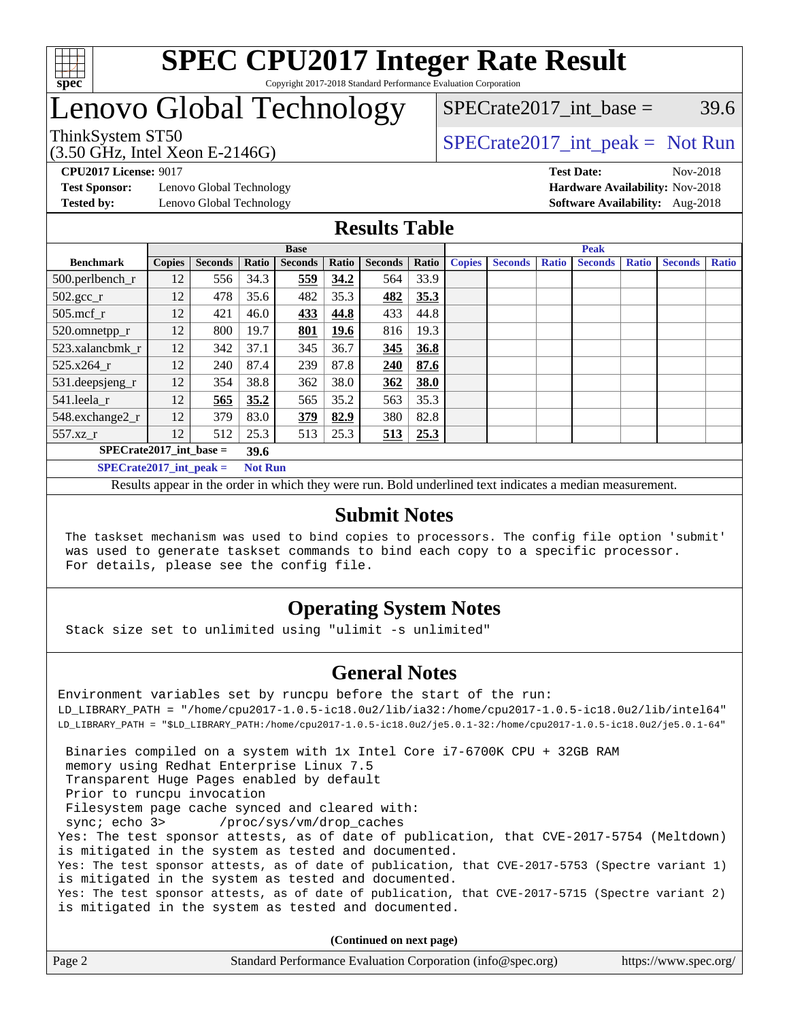

#### **[SPEC CPU2017 Integer Rate Result](http://www.spec.org/auto/cpu2017/Docs/result-fields.html#SPECCPU2017IntegerRateResult)** Copyright 2017-2018 Standard Performance Evaluation Corporation

## Lenovo Global Technology

SPECrate2017 int\_base =  $39.6$ 

(3.50 GHz, Intel Xeon E-2146G)

ThinkSystem ST50  $SPECrate2017$ \_int\_peak = Not Run

**[Test Sponsor:](http://www.spec.org/auto/cpu2017/Docs/result-fields.html#TestSponsor)** Lenovo Global Technology **[Hardware Availability:](http://www.spec.org/auto/cpu2017/Docs/result-fields.html#HardwareAvailability)** Nov-2018 **[Tested by:](http://www.spec.org/auto/cpu2017/Docs/result-fields.html#Testedby)** Lenovo Global Technology **[Software Availability:](http://www.spec.org/auto/cpu2017/Docs/result-fields.html#SoftwareAvailability)** Aug-2018

**[CPU2017 License:](http://www.spec.org/auto/cpu2017/Docs/result-fields.html#CPU2017License)** 9017 **[Test Date:](http://www.spec.org/auto/cpu2017/Docs/result-fields.html#TestDate)** Nov-2018

### **[Results Table](http://www.spec.org/auto/cpu2017/Docs/result-fields.html#ResultsTable)**

|                               | <b>Base</b>   |                |                |                |             | <b>Peak</b>    |       |               |                |              |                |              |                |              |
|-------------------------------|---------------|----------------|----------------|----------------|-------------|----------------|-------|---------------|----------------|--------------|----------------|--------------|----------------|--------------|
| <b>Benchmark</b>              | <b>Copies</b> | <b>Seconds</b> | Ratio          | <b>Seconds</b> | Ratio       | <b>Seconds</b> | Ratio | <b>Copies</b> | <b>Seconds</b> | <b>Ratio</b> | <b>Seconds</b> | <b>Ratio</b> | <b>Seconds</b> | <b>Ratio</b> |
| $500.$ perlbench_r            | 12            | 556            | 34.3           | 559            | 34.2        | 564            | 33.9  |               |                |              |                |              |                |              |
| $502.\text{gcc}$ <sub>r</sub> | 12            | 478            | 35.6           | 482            | 35.3        | 482            | 35.3  |               |                |              |                |              |                |              |
| $505$ .mcf r                  | 12            | 421            | 46.0           | 433            | 44.8        | 433            | 44.8  |               |                |              |                |              |                |              |
| 520.omnetpp_r                 | 12            | 800            | 19.7           | 801            | <b>19.6</b> | 816            | 19.3  |               |                |              |                |              |                |              |
| 523.xalancbmk r               | 12            | 342            | 37.1           | 345            | 36.7        | 345            | 36.8  |               |                |              |                |              |                |              |
| 525.x264 r                    | 12            | 240            | 87.4           | 239            | 87.8        | 240            | 87.6  |               |                |              |                |              |                |              |
| 531.deepsjeng_r               | 12            | 354            | 38.8           | 362            | 38.0        | 362            | 38.0  |               |                |              |                |              |                |              |
| 541.leela r                   | 12            | 565            | 35.2           | 565            | 35.2        | 563            | 35.3  |               |                |              |                |              |                |              |
| 548.exchange2_r               | 12            | 379            | 83.0           | 379            | 82.9        | 380            | 82.8  |               |                |              |                |              |                |              |
| $557.xz$ _r                   | 12            | 512            | 25.3           | 513            | 25.3        | 513            | 25.3  |               |                |              |                |              |                |              |
| $SPECrate2017$ int base =     |               |                | 39.6           |                |             |                |       |               |                |              |                |              |                |              |
| $SPECrate2017$ int peak =     |               |                | <b>Not Run</b> |                |             |                |       |               |                |              |                |              |                |              |

Results appear in the [order in which they were run](http://www.spec.org/auto/cpu2017/Docs/result-fields.html#RunOrder). Bold underlined text [indicates a median measurement](http://www.spec.org/auto/cpu2017/Docs/result-fields.html#Median).

### **[Submit Notes](http://www.spec.org/auto/cpu2017/Docs/result-fields.html#SubmitNotes)**

 The taskset mechanism was used to bind copies to processors. The config file option 'submit' was used to generate taskset commands to bind each copy to a specific processor. For details, please see the config file.

### **[Operating System Notes](http://www.spec.org/auto/cpu2017/Docs/result-fields.html#OperatingSystemNotes)**

Stack size set to unlimited using "ulimit -s unlimited"

### **[General Notes](http://www.spec.org/auto/cpu2017/Docs/result-fields.html#GeneralNotes)**

Environment variables set by runcpu before the start of the run: LD\_LIBRARY\_PATH = "/home/cpu2017-1.0.5-ic18.0u2/lib/ia32:/home/cpu2017-1.0.5-ic18.0u2/lib/intel64" LD\_LIBRARY\_PATH = "\$LD\_LIBRARY\_PATH:/home/cpu2017-1.0.5-ic18.0u2/je5.0.1-32:/home/cpu2017-1.0.5-ic18.0u2/je5.0.1-64" Binaries compiled on a system with 1x Intel Core i7-6700K CPU + 32GB RAM memory using Redhat Enterprise Linux 7.5 Transparent Huge Pages enabled by default Prior to runcpu invocation Filesystem page cache synced and cleared with: sync; echo 3> /proc/sys/vm/drop\_caches Yes: The test sponsor attests, as of date of publication, that CVE-2017-5754 (Meltdown) is mitigated in the system as tested and documented. Yes: The test sponsor attests, as of date of publication, that CVE-2017-5753 (Spectre variant 1) is mitigated in the system as tested and documented. Yes: The test sponsor attests, as of date of publication, that CVE-2017-5715 (Spectre variant 2) is mitigated in the system as tested and documented.

**(Continued on next page)**

| Page 2 | Standard Performance Evaluation Corporation (info@spec.org) | https://www.spec.org/ |
|--------|-------------------------------------------------------------|-----------------------|
|        |                                                             |                       |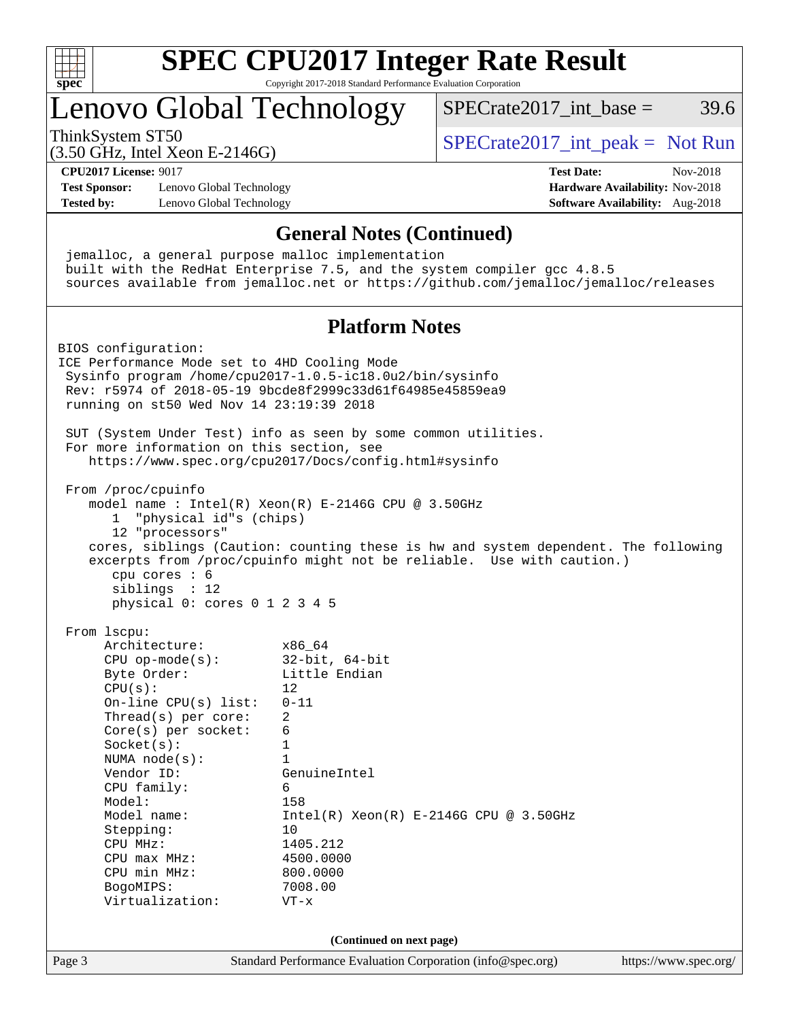

# **[SPEC CPU2017 Integer Rate Result](http://www.spec.org/auto/cpu2017/Docs/result-fields.html#SPECCPU2017IntegerRateResult)**

Copyright 2017-2018 Standard Performance Evaluation Corporation

## Lenovo Global Technology

ThinkSystem ST50  $SPECrate2017$ \_int\_peak = Not Run

 $SPECTate2017\_int\_base = 39.6$ 

(3.50 GHz, Intel Xeon E-2146G)

**[CPU2017 License:](http://www.spec.org/auto/cpu2017/Docs/result-fields.html#CPU2017License)** 9017 **[Test Date:](http://www.spec.org/auto/cpu2017/Docs/result-fields.html#TestDate)** Nov-2018

**[Test Sponsor:](http://www.spec.org/auto/cpu2017/Docs/result-fields.html#TestSponsor)** Lenovo Global Technology **[Hardware Availability:](http://www.spec.org/auto/cpu2017/Docs/result-fields.html#HardwareAvailability)** Nov-2018 **[Tested by:](http://www.spec.org/auto/cpu2017/Docs/result-fields.html#Testedby)** Lenovo Global Technology **[Software Availability:](http://www.spec.org/auto/cpu2017/Docs/result-fields.html#SoftwareAvailability)** Aug-2018

Page 3 Standard Performance Evaluation Corporation [\(info@spec.org\)](mailto:info@spec.org) <https://www.spec.org/> **[General Notes \(Continued\)](http://www.spec.org/auto/cpu2017/Docs/result-fields.html#GeneralNotes)** jemalloc, a general purpose malloc implementation built with the RedHat Enterprise 7.5, and the system compiler gcc 4.8.5 sources available from jemalloc.net or <https://github.com/jemalloc/jemalloc/releases> **[Platform Notes](http://www.spec.org/auto/cpu2017/Docs/result-fields.html#PlatformNotes)** BIOS configuration: ICE Performance Mode set to 4HD Cooling Mode Sysinfo program /home/cpu2017-1.0.5-ic18.0u2/bin/sysinfo Rev: r5974 of 2018-05-19 9bcde8f2999c33d61f64985e45859ea9 running on st50 Wed Nov 14 23:19:39 2018 SUT (System Under Test) info as seen by some common utilities. For more information on this section, see <https://www.spec.org/cpu2017/Docs/config.html#sysinfo> From /proc/cpuinfo model name : Intel(R) Xeon(R) E-2146G CPU @ 3.50GHz 1 "physical id"s (chips) 12 "processors" cores, siblings (Caution: counting these is hw and system dependent. The following excerpts from /proc/cpuinfo might not be reliable. Use with caution.) cpu cores : 6 siblings : 12 physical 0: cores 0 1 2 3 4 5 From lscpu: Architecture: x86\_64 CPU op-mode(s): 32-bit, 64-bit Byte Order: Little Endian  $CPU(s):$  12 On-line CPU(s) list: 0-11 Thread(s) per core: 2 Core(s) per socket: 6 Socket(s): 1 NUMA node(s): 1 Vendor ID: GenuineIntel CPU family: 6 Model: 158 Model name: Intel(R) Xeon(R) E-2146G CPU @ 3.50GHz Stepping: 10 CPU MHz: 1405.212 CPU max MHz: 4500.0000 CPU min MHz: 800.0000 BogoMIPS: 7008.00 Virtualization: VT-x **(Continued on next page)**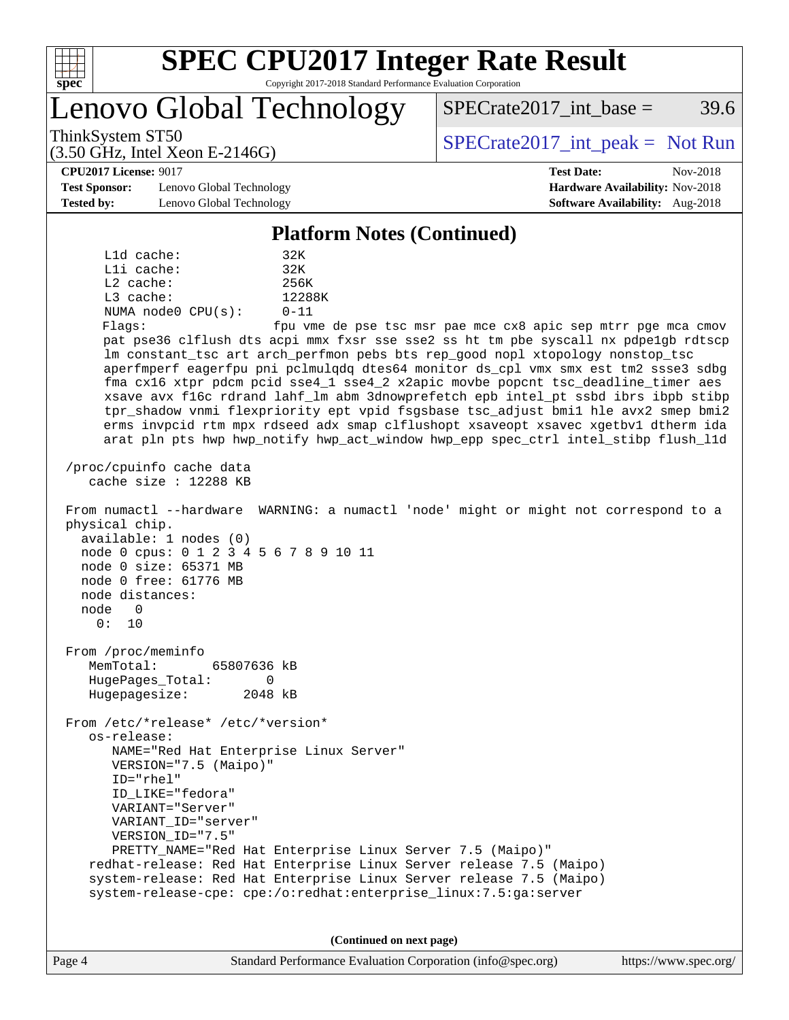

# **[SPEC CPU2017 Integer Rate Result](http://www.spec.org/auto/cpu2017/Docs/result-fields.html#SPECCPU2017IntegerRateResult)**

Copyright 2017-2018 Standard Performance Evaluation Corporation

Lenovo Global Technology

ThinkSystem ST50  $SPECrate2017$ \_int\_peak = Not Run

 $SPECTate2017\_int\_base = 39.6$ 

#### **[CPU2017 License:](http://www.spec.org/auto/cpu2017/Docs/result-fields.html#CPU2017License)** 9017 **[Test Date:](http://www.spec.org/auto/cpu2017/Docs/result-fields.html#TestDate)** Nov-2018

**[Test Sponsor:](http://www.spec.org/auto/cpu2017/Docs/result-fields.html#TestSponsor)** Lenovo Global Technology **[Hardware Availability:](http://www.spec.org/auto/cpu2017/Docs/result-fields.html#HardwareAvailability)** Nov-2018 **[Tested by:](http://www.spec.org/auto/cpu2017/Docs/result-fields.html#Testedby)** Lenovo Global Technology **[Software Availability:](http://www.spec.org/auto/cpu2017/Docs/result-fields.html#SoftwareAvailability)** Aug-2018

(3.50 GHz, Intel Xeon E-2146G)

#### **[Platform Notes \(Continued\)](http://www.spec.org/auto/cpu2017/Docs/result-fields.html#PlatformNotes)**

 L1d cache: 32K L1i cache: 32K L2 cache: 256K L3 cache: 12288K NUMA node0 CPU(s): 0-11 Flags: fpu vme de pse tsc msr pae mce cx8 apic sep mtrr pge mca cmov pat pse36 clflush dts acpi mmx fxsr sse sse2 ss ht tm pbe syscall nx pdpe1gb rdtscp lm constant\_tsc art arch\_perfmon pebs bts rep\_good nopl xtopology nonstop\_tsc aperfmperf eagerfpu pni pclmulqdq dtes64 monitor ds\_cpl vmx smx est tm2 ssse3 sdbg fma cx16 xtpr pdcm pcid sse4\_1 sse4\_2 x2apic movbe popcnt tsc\_deadline\_timer aes xsave avx f16c rdrand lahf\_lm abm 3dnowprefetch epb intel\_pt ssbd ibrs ibpb stibp tpr\_shadow vnmi flexpriority ept vpid fsgsbase tsc\_adjust bmi1 hle avx2 smep bmi2 erms invpcid rtm mpx rdseed adx smap clflushopt xsaveopt xsavec xgetbv1 dtherm ida arat pln pts hwp hwp\_notify hwp\_act\_window hwp\_epp spec\_ctrl intel\_stibp flush\_l1d /proc/cpuinfo cache data cache size : 12288 KB From numactl --hardware WARNING: a numactl 'node' might or might not correspond to a physical chip. available: 1 nodes (0) node 0 cpus: 0 1 2 3 4 5 6 7 8 9 10 11 node 0 size: 65371 MB node 0 free: 61776 MB node distances: node 0 0: 10 From /proc/meminfo MemTotal: 65807636 kB HugePages\_Total: 0 Hugepagesize: 2048 kB From /etc/\*release\* /etc/\*version\* os-release: NAME="Red Hat Enterprise Linux Server" VERSION="7.5 (Maipo)" ID="rhel" ID\_LIKE="fedora" VARIANT="Server" VARIANT\_ID="server" VERSION\_ID="7.5" PRETTY\_NAME="Red Hat Enterprise Linux Server 7.5 (Maipo)" redhat-release: Red Hat Enterprise Linux Server release 7.5 (Maipo) system-release: Red Hat Enterprise Linux Server release 7.5 (Maipo) system-release-cpe: cpe:/o:redhat:enterprise\_linux:7.5:ga:server

**(Continued on next page)**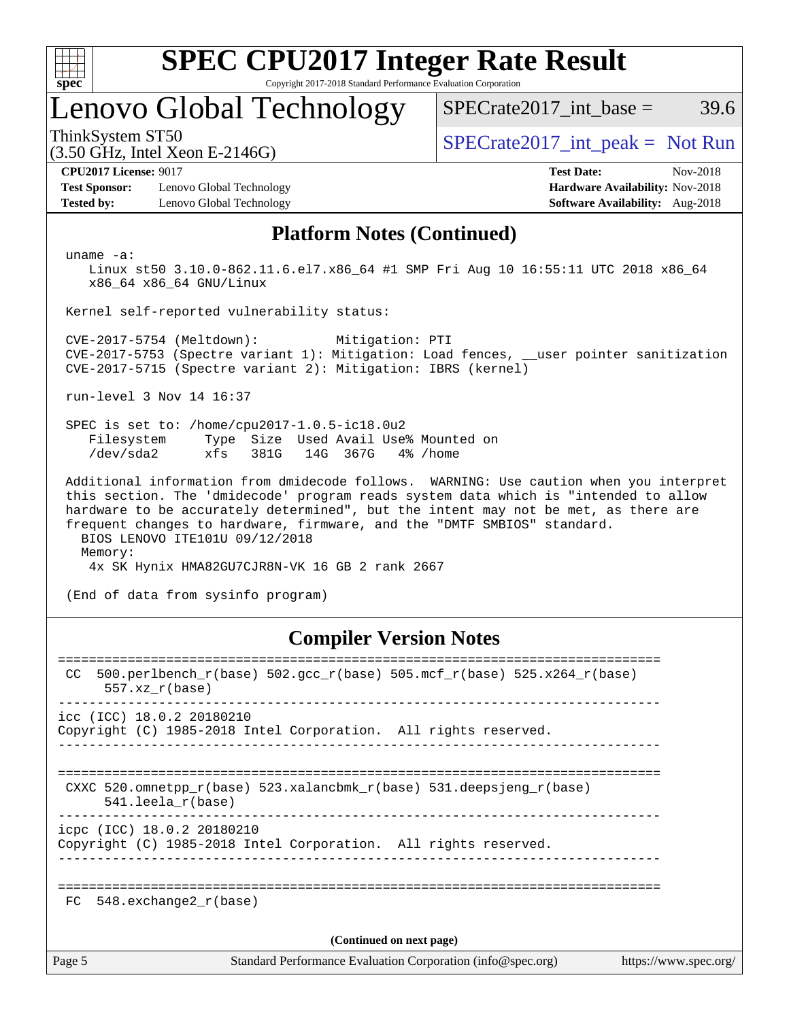

# **[SPEC CPU2017 Integer Rate Result](http://www.spec.org/auto/cpu2017/Docs/result-fields.html#SPECCPU2017IntegerRateResult)**

Copyright 2017-2018 Standard Performance Evaluation Corporation

### Lenovo Global Technology

ThinkSystem ST50  $SPECrate2017$ \_int\_peak = Not Run

 $SPECTate2017\_int\_base = 39.6$ 

#### (3.50 GHz, Intel Xeon E-2146G)

**[Test Sponsor:](http://www.spec.org/auto/cpu2017/Docs/result-fields.html#TestSponsor)** Lenovo Global Technology **[Hardware Availability:](http://www.spec.org/auto/cpu2017/Docs/result-fields.html#HardwareAvailability)** Nov-2018 **[Tested by:](http://www.spec.org/auto/cpu2017/Docs/result-fields.html#Testedby)** Lenovo Global Technology **[Software Availability:](http://www.spec.org/auto/cpu2017/Docs/result-fields.html#SoftwareAvailability)** Aug-2018

**[CPU2017 License:](http://www.spec.org/auto/cpu2017/Docs/result-fields.html#CPU2017License)** 9017 **[Test Date:](http://www.spec.org/auto/cpu2017/Docs/result-fields.html#TestDate)** Nov-2018

### **[Platform Notes \(Continued\)](http://www.spec.org/auto/cpu2017/Docs/result-fields.html#PlatformNotes)**

uname -a:

 Linux st50 3.10.0-862.11.6.el7.x86\_64 #1 SMP Fri Aug 10 16:55:11 UTC 2018 x86\_64 x86\_64 x86\_64 GNU/Linux

Kernel self-reported vulnerability status:

 CVE-2017-5754 (Meltdown): Mitigation: PTI CVE-2017-5753 (Spectre variant 1): Mitigation: Load fences, \_\_user pointer sanitization CVE-2017-5715 (Spectre variant 2): Mitigation: IBRS (kernel)

run-level 3 Nov 14 16:37

 SPEC is set to: /home/cpu2017-1.0.5-ic18.0u2 Filesystem Type Size Used Avail Use% Mounted on /dev/sda2 xfs 381G 14G 367G 4% /home

 Additional information from dmidecode follows. WARNING: Use caution when you interpret this section. The 'dmidecode' program reads system data which is "intended to allow hardware to be accurately determined", but the intent may not be met, as there are frequent changes to hardware, firmware, and the "DMTF SMBIOS" standard. BIOS LENOVO ITE101U 09/12/2018

Memory:

4x SK Hynix HMA82GU7CJR8N-VK 16 GB 2 rank 2667

(End of data from sysinfo program)

### **[Compiler Version Notes](http://www.spec.org/auto/cpu2017/Docs/result-fields.html#CompilerVersionNotes)**

| CC.                      | 500.perlbench_r(base) 502.gcc_r(base) 505.mcf_r(base) 525.x264_r(base)<br>$557.xx$ $r(base)$                                             |  |  |  |  |
|--------------------------|------------------------------------------------------------------------------------------------------------------------------------------|--|--|--|--|
|                          | $\text{icc}$ (ICC) 18.0.2 20180210<br>Copyright (C) 1985-2018 Intel Corporation. All rights reserved.                                    |  |  |  |  |
|                          | ----------------------------------<br>CXXC 520.omnetpp $r(base)$ 523.xalancbmk $r(base)$ 531.deepsjeng $r(base)$<br>$541.$ leela r(base) |  |  |  |  |
|                          | icpc (ICC) 18.0.2 20180210<br>Copyright (C) 1985-2018 Intel Corporation. All rights reserved.                                            |  |  |  |  |
| FC                       | 548.exchange2 r(base)                                                                                                                    |  |  |  |  |
| (Continued on next page) |                                                                                                                                          |  |  |  |  |
| Page 5                   | Standard Performance Evaluation Corporation (info@spec.org)<br>https://www.spec.org/                                                     |  |  |  |  |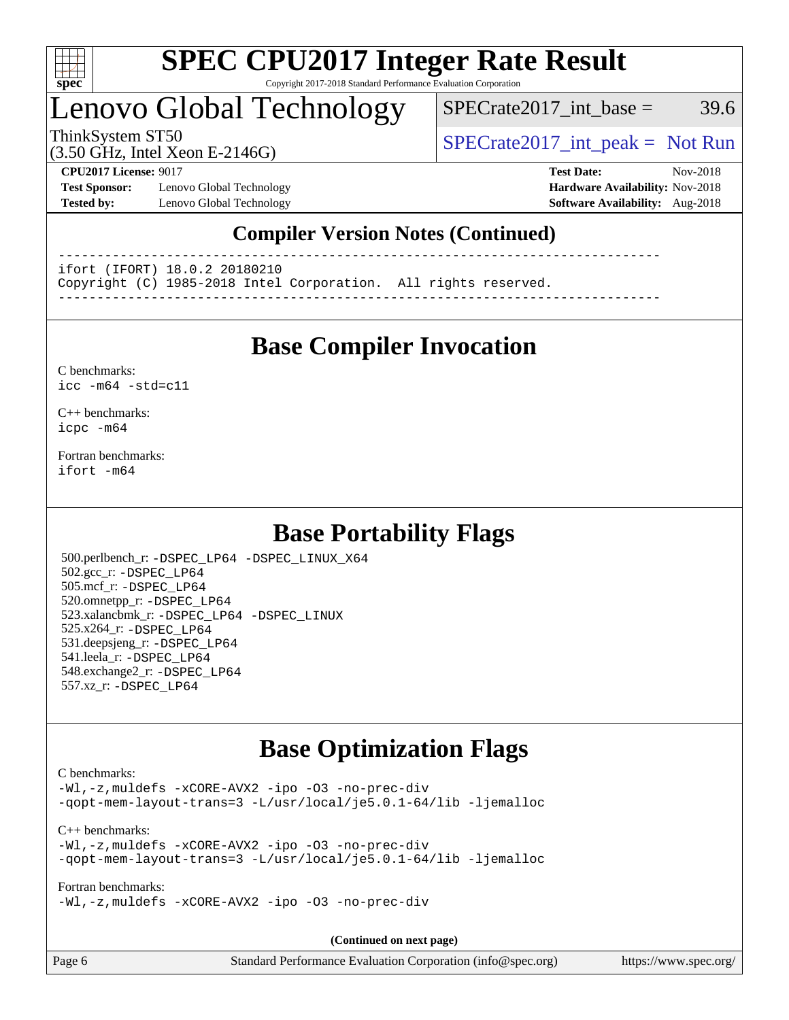

#### **[SPEC CPU2017 Integer Rate Result](http://www.spec.org/auto/cpu2017/Docs/result-fields.html#SPECCPU2017IntegerRateResult)** Copyright 2017-2018 Standard Performance Evaluation Corporation

### Lenovo Global Technology

 $SPECTate2017\_int\_base = 39.6$ 

(3.50 GHz, Intel Xeon E-2146G)

ThinkSystem ST50  $SPECrate2017$ \_int\_peak = Not Run

**[Test Sponsor:](http://www.spec.org/auto/cpu2017/Docs/result-fields.html#TestSponsor)** Lenovo Global Technology **[Hardware Availability:](http://www.spec.org/auto/cpu2017/Docs/result-fields.html#HardwareAvailability)** Nov-2018 **[Tested by:](http://www.spec.org/auto/cpu2017/Docs/result-fields.html#Testedby)** Lenovo Global Technology **[Software Availability:](http://www.spec.org/auto/cpu2017/Docs/result-fields.html#SoftwareAvailability)** Aug-2018

**[CPU2017 License:](http://www.spec.org/auto/cpu2017/Docs/result-fields.html#CPU2017License)** 9017 **[Test Date:](http://www.spec.org/auto/cpu2017/Docs/result-fields.html#TestDate)** Nov-2018

### **[Compiler Version Notes \(Continued\)](http://www.spec.org/auto/cpu2017/Docs/result-fields.html#CompilerVersionNotes)**

------------------------------------------------------------------------------

ifort (IFORT) 18.0.2 20180210

Copyright (C) 1985-2018 Intel Corporation. All rights reserved.

------------------------------------------------------------------------------

### **[Base Compiler Invocation](http://www.spec.org/auto/cpu2017/Docs/result-fields.html#BaseCompilerInvocation)**

#### [C benchmarks](http://www.spec.org/auto/cpu2017/Docs/result-fields.html#Cbenchmarks): [icc -m64 -std=c11](http://www.spec.org/cpu2017/results/res2018q4/cpu2017-20181126-09927.flags.html#user_CCbase_intel_icc_64bit_c11_33ee0cdaae7deeeab2a9725423ba97205ce30f63b9926c2519791662299b76a0318f32ddfffdc46587804de3178b4f9328c46fa7c2b0cd779d7a61945c91cd35)

[C++ benchmarks:](http://www.spec.org/auto/cpu2017/Docs/result-fields.html#CXXbenchmarks) [icpc -m64](http://www.spec.org/cpu2017/results/res2018q4/cpu2017-20181126-09927.flags.html#user_CXXbase_intel_icpc_64bit_4ecb2543ae3f1412ef961e0650ca070fec7b7afdcd6ed48761b84423119d1bf6bdf5cad15b44d48e7256388bc77273b966e5eb805aefd121eb22e9299b2ec9d9)

[Fortran benchmarks](http://www.spec.org/auto/cpu2017/Docs/result-fields.html#Fortranbenchmarks): [ifort -m64](http://www.spec.org/cpu2017/results/res2018q4/cpu2017-20181126-09927.flags.html#user_FCbase_intel_ifort_64bit_24f2bb282fbaeffd6157abe4f878425411749daecae9a33200eee2bee2fe76f3b89351d69a8130dd5949958ce389cf37ff59a95e7a40d588e8d3a57e0c3fd751)

### **[Base Portability Flags](http://www.spec.org/auto/cpu2017/Docs/result-fields.html#BasePortabilityFlags)**

 500.perlbench\_r: [-DSPEC\\_LP64](http://www.spec.org/cpu2017/results/res2018q4/cpu2017-20181126-09927.flags.html#b500.perlbench_r_basePORTABILITY_DSPEC_LP64) [-DSPEC\\_LINUX\\_X64](http://www.spec.org/cpu2017/results/res2018q4/cpu2017-20181126-09927.flags.html#b500.perlbench_r_baseCPORTABILITY_DSPEC_LINUX_X64) 502.gcc\_r: [-DSPEC\\_LP64](http://www.spec.org/cpu2017/results/res2018q4/cpu2017-20181126-09927.flags.html#suite_basePORTABILITY502_gcc_r_DSPEC_LP64) 505.mcf\_r: [-DSPEC\\_LP64](http://www.spec.org/cpu2017/results/res2018q4/cpu2017-20181126-09927.flags.html#suite_basePORTABILITY505_mcf_r_DSPEC_LP64) 520.omnetpp\_r: [-DSPEC\\_LP64](http://www.spec.org/cpu2017/results/res2018q4/cpu2017-20181126-09927.flags.html#suite_basePORTABILITY520_omnetpp_r_DSPEC_LP64) 523.xalancbmk\_r: [-DSPEC\\_LP64](http://www.spec.org/cpu2017/results/res2018q4/cpu2017-20181126-09927.flags.html#suite_basePORTABILITY523_xalancbmk_r_DSPEC_LP64) [-DSPEC\\_LINUX](http://www.spec.org/cpu2017/results/res2018q4/cpu2017-20181126-09927.flags.html#b523.xalancbmk_r_baseCXXPORTABILITY_DSPEC_LINUX) 525.x264\_r: [-DSPEC\\_LP64](http://www.spec.org/cpu2017/results/res2018q4/cpu2017-20181126-09927.flags.html#suite_basePORTABILITY525_x264_r_DSPEC_LP64) 531.deepsjeng\_r: [-DSPEC\\_LP64](http://www.spec.org/cpu2017/results/res2018q4/cpu2017-20181126-09927.flags.html#suite_basePORTABILITY531_deepsjeng_r_DSPEC_LP64) 541.leela\_r: [-DSPEC\\_LP64](http://www.spec.org/cpu2017/results/res2018q4/cpu2017-20181126-09927.flags.html#suite_basePORTABILITY541_leela_r_DSPEC_LP64) 548.exchange2\_r: [-DSPEC\\_LP64](http://www.spec.org/cpu2017/results/res2018q4/cpu2017-20181126-09927.flags.html#suite_basePORTABILITY548_exchange2_r_DSPEC_LP64) 557.xz\_r: [-DSPEC\\_LP64](http://www.spec.org/cpu2017/results/res2018q4/cpu2017-20181126-09927.flags.html#suite_basePORTABILITY557_xz_r_DSPEC_LP64)

### **[Base Optimization Flags](http://www.spec.org/auto/cpu2017/Docs/result-fields.html#BaseOptimizationFlags)**

#### [C benchmarks](http://www.spec.org/auto/cpu2017/Docs/result-fields.html#Cbenchmarks):

[-Wl,-z,muldefs](http://www.spec.org/cpu2017/results/res2018q4/cpu2017-20181126-09927.flags.html#user_CCbase_link_force_multiple1_b4cbdb97b34bdee9ceefcfe54f4c8ea74255f0b02a4b23e853cdb0e18eb4525ac79b5a88067c842dd0ee6996c24547a27a4b99331201badda8798ef8a743f577) [-xCORE-AVX2](http://www.spec.org/cpu2017/results/res2018q4/cpu2017-20181126-09927.flags.html#user_CCbase_f-xCORE-AVX2) [-ipo](http://www.spec.org/cpu2017/results/res2018q4/cpu2017-20181126-09927.flags.html#user_CCbase_f-ipo) [-O3](http://www.spec.org/cpu2017/results/res2018q4/cpu2017-20181126-09927.flags.html#user_CCbase_f-O3) [-no-prec-div](http://www.spec.org/cpu2017/results/res2018q4/cpu2017-20181126-09927.flags.html#user_CCbase_f-no-prec-div) [-qopt-mem-layout-trans=3](http://www.spec.org/cpu2017/results/res2018q4/cpu2017-20181126-09927.flags.html#user_CCbase_f-qopt-mem-layout-trans_de80db37974c74b1f0e20d883f0b675c88c3b01e9d123adea9b28688d64333345fb62bc4a798493513fdb68f60282f9a726aa07f478b2f7113531aecce732043) [-L/usr/local/je5.0.1-64/lib](http://www.spec.org/cpu2017/results/res2018q4/cpu2017-20181126-09927.flags.html#user_CCbase_jemalloc_link_path64_4b10a636b7bce113509b17f3bd0d6226c5fb2346b9178c2d0232c14f04ab830f976640479e5c33dc2bcbbdad86ecfb6634cbbd4418746f06f368b512fced5394) [-ljemalloc](http://www.spec.org/cpu2017/results/res2018q4/cpu2017-20181126-09927.flags.html#user_CCbase_jemalloc_link_lib_d1249b907c500fa1c0672f44f562e3d0f79738ae9e3c4a9c376d49f265a04b9c99b167ecedbf6711b3085be911c67ff61f150a17b3472be731631ba4d0471706)

[C++ benchmarks:](http://www.spec.org/auto/cpu2017/Docs/result-fields.html#CXXbenchmarks) [-Wl,-z,muldefs](http://www.spec.org/cpu2017/results/res2018q4/cpu2017-20181126-09927.flags.html#user_CXXbase_link_force_multiple1_b4cbdb97b34bdee9ceefcfe54f4c8ea74255f0b02a4b23e853cdb0e18eb4525ac79b5a88067c842dd0ee6996c24547a27a4b99331201badda8798ef8a743f577) [-xCORE-AVX2](http://www.spec.org/cpu2017/results/res2018q4/cpu2017-20181126-09927.flags.html#user_CXXbase_f-xCORE-AVX2) [-ipo](http://www.spec.org/cpu2017/results/res2018q4/cpu2017-20181126-09927.flags.html#user_CXXbase_f-ipo) [-O3](http://www.spec.org/cpu2017/results/res2018q4/cpu2017-20181126-09927.flags.html#user_CXXbase_f-O3) [-no-prec-div](http://www.spec.org/cpu2017/results/res2018q4/cpu2017-20181126-09927.flags.html#user_CXXbase_f-no-prec-div) [-qopt-mem-layout-trans=3](http://www.spec.org/cpu2017/results/res2018q4/cpu2017-20181126-09927.flags.html#user_CXXbase_f-qopt-mem-layout-trans_de80db37974c74b1f0e20d883f0b675c88c3b01e9d123adea9b28688d64333345fb62bc4a798493513fdb68f60282f9a726aa07f478b2f7113531aecce732043) [-L/usr/local/je5.0.1-64/lib](http://www.spec.org/cpu2017/results/res2018q4/cpu2017-20181126-09927.flags.html#user_CXXbase_jemalloc_link_path64_4b10a636b7bce113509b17f3bd0d6226c5fb2346b9178c2d0232c14f04ab830f976640479e5c33dc2bcbbdad86ecfb6634cbbd4418746f06f368b512fced5394) [-ljemalloc](http://www.spec.org/cpu2017/results/res2018q4/cpu2017-20181126-09927.flags.html#user_CXXbase_jemalloc_link_lib_d1249b907c500fa1c0672f44f562e3d0f79738ae9e3c4a9c376d49f265a04b9c99b167ecedbf6711b3085be911c67ff61f150a17b3472be731631ba4d0471706)

[Fortran benchmarks](http://www.spec.org/auto/cpu2017/Docs/result-fields.html#Fortranbenchmarks):

[-Wl,-z,muldefs](http://www.spec.org/cpu2017/results/res2018q4/cpu2017-20181126-09927.flags.html#user_FCbase_link_force_multiple1_b4cbdb97b34bdee9ceefcfe54f4c8ea74255f0b02a4b23e853cdb0e18eb4525ac79b5a88067c842dd0ee6996c24547a27a4b99331201badda8798ef8a743f577) [-xCORE-AVX2](http://www.spec.org/cpu2017/results/res2018q4/cpu2017-20181126-09927.flags.html#user_FCbase_f-xCORE-AVX2) [-ipo](http://www.spec.org/cpu2017/results/res2018q4/cpu2017-20181126-09927.flags.html#user_FCbase_f-ipo) [-O3](http://www.spec.org/cpu2017/results/res2018q4/cpu2017-20181126-09927.flags.html#user_FCbase_f-O3) [-no-prec-div](http://www.spec.org/cpu2017/results/res2018q4/cpu2017-20181126-09927.flags.html#user_FCbase_f-no-prec-div)

**(Continued on next page)**

| Page 6 | Standard Performance Evaluation Corporation (info@spec.org) | https://www.spec.org/ |
|--------|-------------------------------------------------------------|-----------------------|
|--------|-------------------------------------------------------------|-----------------------|